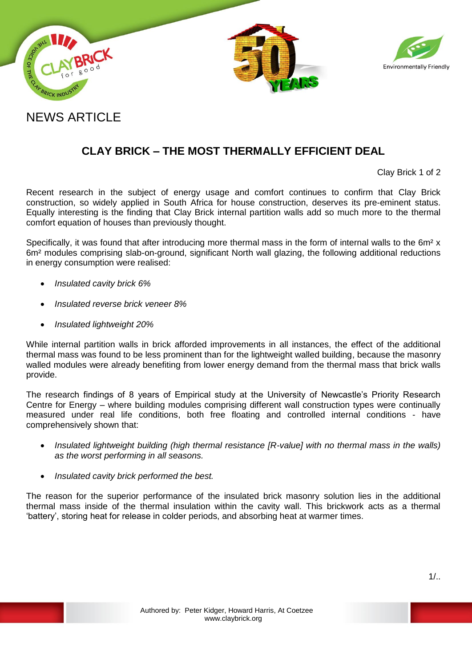



## NEWS ARTICLE

## **CLAY BRICK – THE MOST THERMALLY EFFICIENT DEAL**

Clay Brick 1 of 2

Recent research in the subject of energy usage and comfort continues to confirm that Clay Brick construction, so widely applied in South Africa for house construction, deserves its pre-eminent status. Equally interesting is the finding that Clay Brick internal partition walls add so much more to the thermal comfort equation of houses than previously thought.

Specifically, it was found that after introducing more thermal mass in the form of internal walls to the 6m<sup>2</sup> x 6m² modules comprising slab-on-ground, significant North wall glazing, the following additional reductions in energy consumption were realised:

- *Insulated cavity brick 6%*
- *Insulated reverse brick veneer 8%*
- *Insulated lightweight 20%*

While internal partition walls in brick afforded improvements in all instances, the effect of the additional thermal mass was found to be less prominent than for the lightweight walled building, because the masonry walled modules were already benefiting from lower energy demand from the thermal mass that brick walls provide.

The research findings of 8 years of Empirical study at the University of Newcastle's Priority Research Centre for Energy – where building modules comprising different wall construction types were continually measured under real life conditions, both free floating and controlled internal conditions - have comprehensively shown that:

- *Insulated lightweight building (high thermal resistance [R-value] with no thermal mass in the walls) as the worst performing in all seasons.*
- *Insulated cavity brick performed the best.*

The reason for the superior performance of the insulated brick masonry solution lies in the additional thermal mass inside of the thermal insulation within the cavity wall. This brickwork acts as a thermal 'battery', storing heat for release in colder periods, and absorbing heat at warmer times.